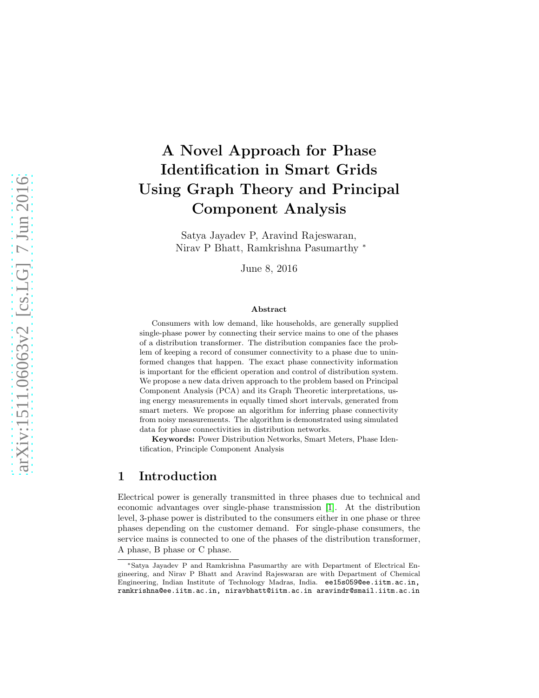# A Novel Approach for Phase Identification in Smart Grids Using Graph Theory and Principal Component Analysis

Satya Jayadev P, Aravind Rajeswaran, Nirav P Bhatt, Ramkrishna Pasumarthy <sup>∗</sup>

June 8, 2016

#### Abstract

Consumers with low demand, like households, are generally supplied single-phase power by connecting their service mains to one of the phases of a distribution transformer. The distribution companies face the problem of keeping a record of consumer connectivity to a phase due to uninformed changes that happen. The exact phase connectivity information is important for the efficient operation and control of distribution system. We propose a new data driven approach to the problem based on Principal Component Analysis (PCA) and its Graph Theoretic interpretations, using energy measurements in equally timed short intervals, generated from smart meters. We propose an algorithm for inferring phase connectivity from noisy measurements. The algorithm is demonstrated using simulated data for phase connectivities in distribution networks.

Keywords: Power Distribution Networks, Smart Meters, Phase Identification, Principle Component Analysis

### 1 Introduction

Electrical power is generally transmitted in three phases due to technical and economic advantages over single-phase transmission [\[1\]](#page-12-0). At the distribution level, 3-phase power is distributed to the consumers either in one phase or three phases depending on the customer demand. For single-phase consumers, the service mains is connected to one of the phases of the distribution transformer, A phase, B phase or C phase.

<sup>∗</sup>Satya Jayadev P and Ramkrishna Pasumarthy are with Department of Electrical Engineering, and Nirav P Bhatt and Aravind Rajeswaran are with Department of Chemical Engineering, Indian Institute of Technology Madras, India. ee15s059@ee.iitm.ac.in, ramkrishna@ee.iitm.ac.in, niravbhatt@iitm.ac.in aravindr@smail.iitm.ac.in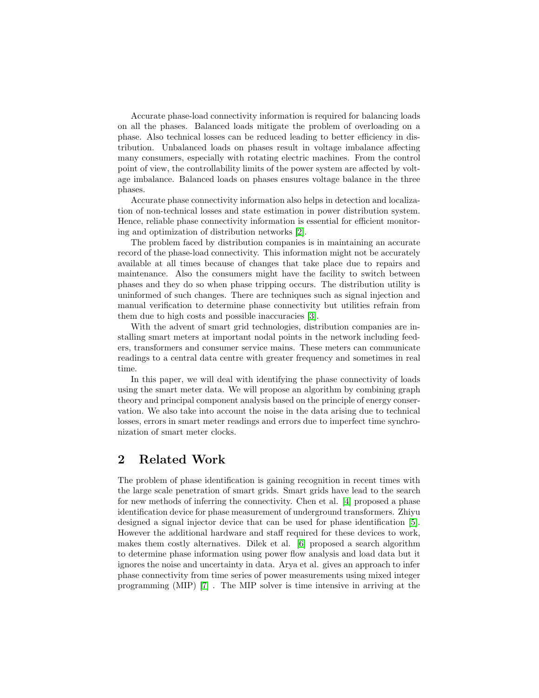Accurate phase-load connectivity information is required for balancing loads on all the phases. Balanced loads mitigate the problem of overloading on a phase. Also technical losses can be reduced leading to better efficiency in distribution. Unbalanced loads on phases result in voltage imbalance affecting many consumers, especially with rotating electric machines. From the control point of view, the controllability limits of the power system are affected by voltage imbalance. Balanced loads on phases ensures voltage balance in the three phases.

Accurate phase connectivity information also helps in detection and localization of non-technical losses and state estimation in power distribution system. Hence, reliable phase connectivity information is essential for efficient monitoring and optimization of distribution networks [\[2\]](#page-12-1).

The problem faced by distribution companies is in maintaining an accurate record of the phase-load connectivity. This information might not be accurately available at all times because of changes that take place due to repairs and maintenance. Also the consumers might have the facility to switch between phases and they do so when phase tripping occurs. The distribution utility is uninformed of such changes. There are techniques such as signal injection and manual verification to determine phase connectivity but utilities refrain from them due to high costs and possible inaccuracies [\[3\]](#page-13-0).

With the advent of smart grid technologies, distribution companies are installing smart meters at important nodal points in the network including feeders, transformers and consumer service mains. These meters can communicate readings to a central data centre with greater frequency and sometimes in real time.

In this paper, we will deal with identifying the phase connectivity of loads using the smart meter data. We will propose an algorithm by combining graph theory and principal component analysis based on the principle of energy conservation. We also take into account the noise in the data arising due to technical losses, errors in smart meter readings and errors due to imperfect time synchronization of smart meter clocks.

### 2 Related Work

The problem of phase identification is gaining recognition in recent times with the large scale penetration of smart grids. Smart grids have lead to the search for new methods of inferring the connectivity. Chen et al. [\[4\]](#page-13-1) proposed a phase identification device for phase measurement of underground transformers. Zhiyu designed a signal injector device that can be used for phase identification [\[5\]](#page-13-2). However the additional hardware and staff required for these devices to work, makes them costly alternatives. Dilek et al. [\[6\]](#page-13-3) proposed a search algorithm to determine phase information using power flow analysis and load data but it ignores the noise and uncertainty in data. Arya et al. gives an approach to infer phase connectivity from time series of power measurements using mixed integer programming (MIP) [\[7\]](#page-13-4) . The MIP solver is time intensive in arriving at the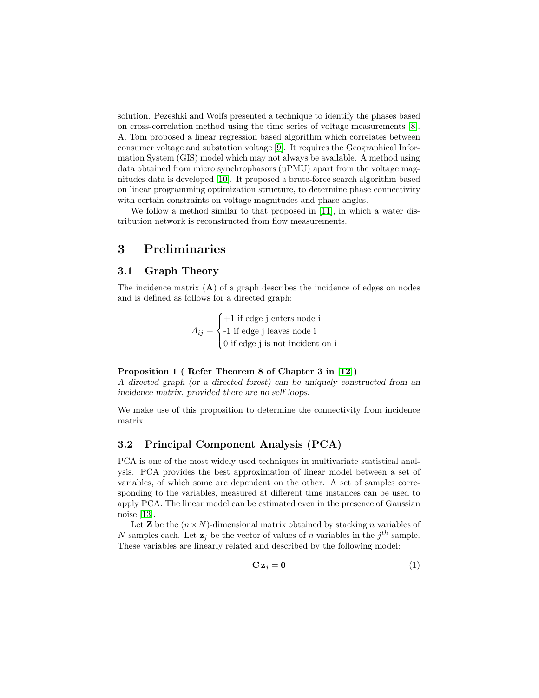solution. Pezeshki and Wolfs presented a technique to identify the phases based on cross-correlation method using the time series of voltage measurements [\[8\]](#page-13-5). A. Tom proposed a linear regression based algorithm which correlates between consumer voltage and substation voltage [\[9\]](#page-13-6). It requires the Geographical Information System (GIS) model which may not always be available. A method using data obtained from micro synchrophasors (uPMU) apart from the voltage magnitudes data is developed [\[10\]](#page-13-7). It proposed a brute-force search algorithm based on linear programming optimization structure, to determine phase connectivity with certain constraints on voltage magnitudes and phase angles.

We follow a method similar to that proposed in [\[11\]](#page-13-8), in which a water distribution network is reconstructed from flow measurements.

# 3 Preliminaries

### 3.1 Graph Theory

The incidence matrix  $(A)$  of a graph describes the incidence of edges on nodes and is defined as follows for a directed graph:

$$
A_{ij} = \begin{cases} +1 \text{ if edge } j \text{ enters node } i \\ -1 \text{ if edge } j \text{ leaves node } i \\ 0 \text{ if edge } j \text{ is not incident on } i \end{cases}
$$

#### Proposition 1 ( Refer Theorem 8 of Chapter 3 in [\[12\]](#page-13-9))

A directed graph (or a directed forest) can be uniquely constructed from an incidence matrix, provided there are no self loops.

We make use of this proposition to determine the connectivity from incidence matrix.

### 3.2 Principal Component Analysis (PCA)

PCA is one of the most widely used techniques in multivariate statistical analysis. PCA provides the best approximation of linear model between a set of variables, of which some are dependent on the other. A set of samples corresponding to the variables, measured at different time instances can be used to apply PCA. The linear model can be estimated even in the presence of Gaussian noise [\[13\]](#page-13-10).

Let **Z** be the  $(n \times N)$ -dimensional matrix obtained by stacking n variables of N samples each. Let  $\mathbf{z}_j$  be the vector of values of n variables in the  $j^{th}$  sample. These variables are linearly related and described by the following model:

$$
\mathbf{C}\,\mathbf{z}_j=\mathbf{0}\tag{1}
$$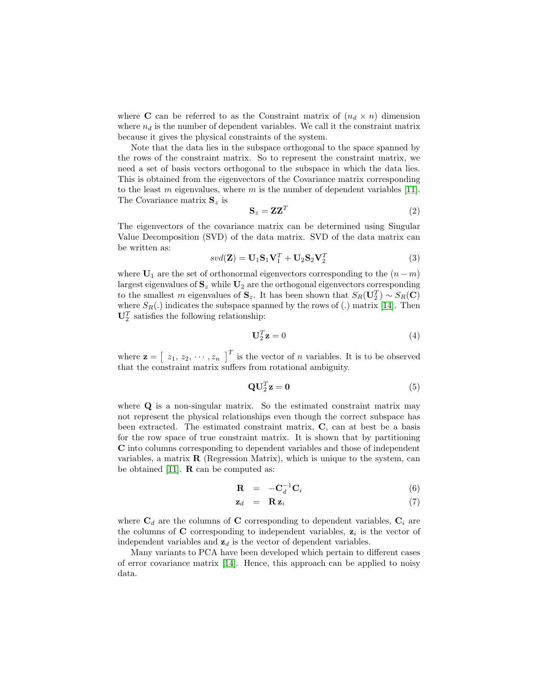where **C** can be referred to as the Constraint matrix of  $(n_d \times n)$  dimension where  $n_d$  is the number of dependent variables. We call it the constraint matrix because it gives the physical constraints of the system.

Note that the data lies in the subspace orthogonal to the space spanned by the rows of the constraint matrix. So to represent the constraint matrix, we need a set of basis vectors orthogonal to the subspace in which the data lies. This is obtained from the eigenvectors of the Covariance matrix corresponding to the least  $m$  eigenvalues, where  $m$  is the number of dependent variables [\[11\]](#page-13-8). The Covariance matrix  $S_z$  is

$$
\mathbf{S}_z = \mathbf{Z} \mathbf{Z}^T \tag{2}
$$

The eigenvectors of the covariance matrix can be determined using Singular Value Decomposition (SVD) of the data matrix. SVD of the data matrix can be written as:

<span id="page-3-0"></span>
$$
svd(\mathbf{Z}) = \mathbf{U}_1 \mathbf{S}_1 \mathbf{V}_1^T + \mathbf{U}_2 \mathbf{S}_2 \mathbf{V}_2^T
$$
\n(3)

where  $\mathbf{U}_1$  are the set of orthonormal eigenvectors corresponding to the  $(n-m)$ largest eigenvalues of  $\mathbf{S}_z$  while  $\mathbf{U}_2$  are the orthogonal eigenvectors corresponding to the smallest m eigenvalues of  $\mathbf{S}_z$ . It has been shown that  $S_R(\mathbf{U}_2^T) \sim S_R(\mathbf{C})$ where  $S_R(.)$  indicates the subspace spanned by the rows of  $(.)$  matrix [\[14\]](#page-13-11). Then  $\mathbf{U}_2^T$  satisfies the following relationship:

$$
\mathbf{U}_2^T \mathbf{z} = 0 \tag{4}
$$

where  $\mathbf{z} = \begin{bmatrix} z_1, z_2, \cdots, z_n \end{bmatrix}^T$  is the vector of *n* variables. It is to be observed that the constraint matrix suffers from rotational ambiguity.

$$
\mathbf{Q}\mathbf{U}_2^T\mathbf{z} = \mathbf{0} \tag{5}
$$

where **Q** is a non-singular matrix. So the estimated constraint matrix may not represent the physical relationships even though the correct subspace has been extracted. The estimated constraint matrix, C, can at best be a basis for the row space of true constraint matrix. It is shown that by partitioning C into columns corresponding to dependent variables and those of independent variables, a matrix  $\bf{R}$  (Regression Matrix), which is unique to the system, can be obtained [\[11\]](#page-13-8).  $\bf{R}$  can be computed as:

<span id="page-3-1"></span>
$$
\mathbf{R} = -\mathbf{C}_d^{-1} \mathbf{C}_i \tag{6}
$$

$$
\mathbf{z}_d = \mathbf{R} \mathbf{z}_i \tag{7}
$$

where  $C_d$  are the columns of C corresponding to dependent variables,  $C_i$  are the columns of  $C$  corresponding to independent variables,  $z_i$  is the vector of independent variables and  $z_d$  is the vector of dependent variables.

Many variants to PCA have been developed which pertain to different cases of error covariance matrix [\[14\]](#page-13-11). Hence, this approach can be applied to noisy data.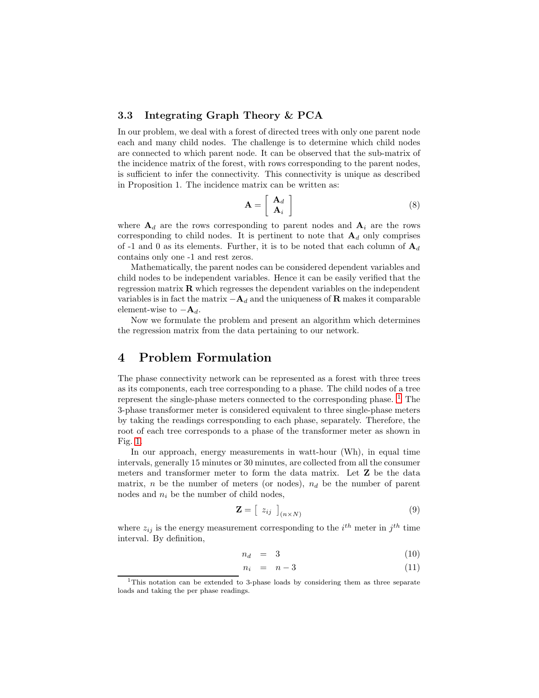### 3.3 Integrating Graph Theory & PCA

In our problem, we deal with a forest of directed trees with only one parent node each and many child nodes. The challenge is to determine which child nodes are connected to which parent node. It can be observed that the sub-matrix of the incidence matrix of the forest, with rows corresponding to the parent nodes, is sufficient to infer the connectivity. This connectivity is unique as described in Proposition 1. The incidence matrix can be written as:

$$
\mathbf{A} = \left[ \begin{array}{c} \mathbf{A}_d \\ \mathbf{A}_i \end{array} \right] \tag{8}
$$

where  $A_d$  are the rows corresponding to parent nodes and  $A_i$  are the rows corresponding to child nodes. It is pertinent to note that  $A_d$  only comprises of -1 and 0 as its elements. Further, it is to be noted that each column of  $A_d$ contains only one -1 and rest zeros.

Mathematically, the parent nodes can be considered dependent variables and child nodes to be independent variables. Hence it can be easily verified that the regression matrix R which regresses the dependent variables on the independent variables is in fact the matrix  $-\mathbf{A}_d$  and the uniqueness of **R** makes it comparable element-wise to  $-\mathbf{A}_d$ .

Now we formulate the problem and present an algorithm which determines the regression matrix from the data pertaining to our network.

## 4 Problem Formulation

The phase connectivity network can be represented as a forest with three trees as its components, each tree corresponding to a phase. The child nodes of a tree represent the single-phase meters connected to the corresponding phase.  $1$  The 3-phase transformer meter is considered equivalent to three single-phase meters by taking the readings corresponding to each phase, separately. Therefore, the root of each tree corresponds to a phase of the transformer meter as shown in Fig. [1.](#page-5-0)

In our approach, energy measurements in watt-hour (Wh), in equal time intervals, generally 15 minutes or 30 minutes, are collected from all the consumer meters and transformer meter to form the data matrix. Let Z be the data matrix, n be the number of meters (or nodes),  $n_d$  be the number of parent nodes and  $n_i$  be the number of child nodes,

$$
\mathbf{Z} = \left[ \begin{array}{c} z_{ij} \end{array} \right]_{(n \times N)} \tag{9}
$$

where  $z_{ij}$  is the energy measurement corresponding to the  $i^{th}$  meter in  $j^{th}$  time interval. By definition,

$$
n_d = 3 \tag{10}
$$

$$
n_i = n-3 \tag{11}
$$

<span id="page-4-0"></span><sup>&</sup>lt;sup>1</sup>This notation can be extended to 3-phase loads by considering them as three separate loads and taking the per phase readings.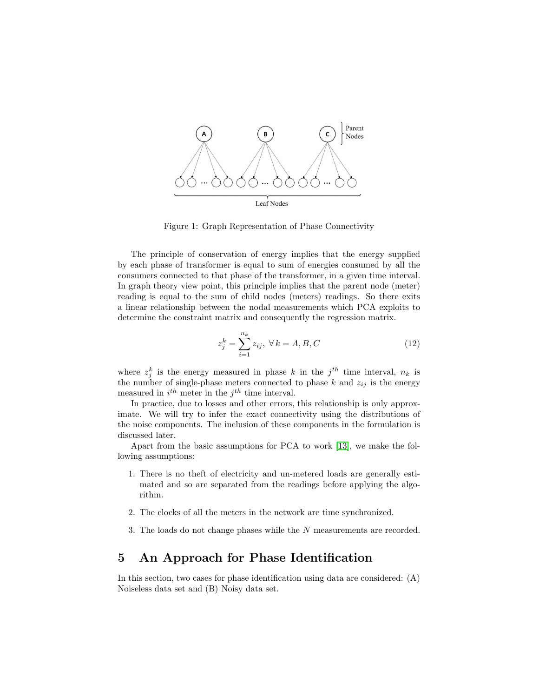

<span id="page-5-0"></span>Figure 1: Graph Representation of Phase Connectivity

The principle of conservation of energy implies that the energy supplied by each phase of transformer is equal to sum of energies consumed by all the consumers connected to that phase of the transformer, in a given time interval. In graph theory view point, this principle implies that the parent node (meter) reading is equal to the sum of child nodes (meters) readings. So there exits a linear relationship between the nodal measurements which PCA exploits to determine the constraint matrix and consequently the regression matrix.

<span id="page-5-1"></span>
$$
z_j^k = \sum_{i=1}^{n_k} z_{ij}, \ \forall \, k = A, B, C \tag{12}
$$

where  $z_j^k$  is the energy measured in phase k in the  $j^{th}$  time interval,  $n_k$  is the number of single-phase meters connected to phase k and  $z_{ij}$  is the energy measured in  $i^{th}$  meter in the  $j^{th}$  time interval.

In practice, due to losses and other errors, this relationship is only approximate. We will try to infer the exact connectivity using the distributions of the noise components. The inclusion of these components in the formulation is discussed later.

Apart from the basic assumptions for PCA to work [\[13\]](#page-13-10), we make the following assumptions:

- 1. There is no theft of electricity and un-metered loads are generally estimated and so are separated from the readings before applying the algorithm.
- 2. The clocks of all the meters in the network are time synchronized.
- 3. The loads do not change phases while the N measurements are recorded.

# 5 An Approach for Phase Identification

In this section, two cases for phase identification using data are considered: (A) Noiseless data set and (B) Noisy data set.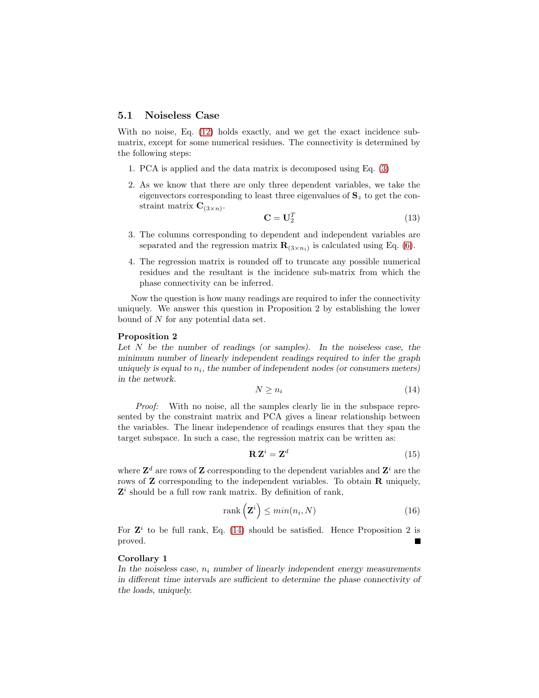### 5.1 Noiseless Case

With no noise, Eq. [\(12\)](#page-5-1) holds exactly, and we get the exact incidence submatrix, except for some numerical residues. The connectivity is determined by the following steps:

- 1. PCA is applied and the data matrix is decomposed using Eq. [\(3\)](#page-3-0)
- 2. As we know that there are only three dependent variables, we take the eigenvectors corresponding to least three eigenvalues of  $S<sub>z</sub>$  to get the constraint matrix  $\mathbf{C}_{(3\times n)}$ .

$$
\mathbf{C} = \mathbf{U}_2^T \tag{13}
$$

- 3. The columns corresponding to dependent and independent variables are separated and the regression matrix  $\mathbf{R}_{(3 \times n_i)}$  is calculated using Eq. [\(6\)](#page-3-1).
- 4. The regression matrix is rounded off to truncate any possible numerical residues and the resultant is the incidence sub-matrix from which the phase connectivity can be inferred.

Now the question is how many readings are required to infer the connectivity uniquely. We answer this question in Proposition 2 by establishing the lower bound of N for any potential data set.

#### Proposition 2

Let  $N$  be the number of readings (or samples). In the noiseless case, the minimum number of linearly independent readings required to infer the graph uniquely is equal to  $n_i$ , the number of independent nodes (or consumers meters) in the network.

<span id="page-6-0"></span>
$$
N \ge n_i \tag{14}
$$

*Proof:* With no noise, all the samples clearly lie in the subspace represented by the constraint matrix and PCA gives a linear relationship between the variables. The linear independence of readings ensures that they span the target subspace. In such a case, the regression matrix can be written as:

$$
\mathbf{R}\mathbf{Z}^i = \mathbf{Z}^d \tag{15}
$$

where  $\mathbf{Z}^d$  are rows of  $\mathbf Z$  corresponding to the dependent variables and  $\mathbf{Z}^i$  are the rows of **Z** corresponding to the independent variables. To obtain **R** uniquely,  $\mathbf{Z}^i$  should be a full row rank matrix. By definition of rank,

$$
rank\left(\mathbf{Z}^{i}\right) \leq min(n_{i}, N) \tag{16}
$$

For  $\mathbf{Z}^i$  to be full rank, Eq. [\(14\)](#page-6-0) should be satisfied. Hence Proposition 2 is proved. Е

### Corollary 1

In the noiseless case,  $n_i$  number of linearly independent energy measurements in different time intervals are sufficient to determine the phase connectivity of the loads, uniquely.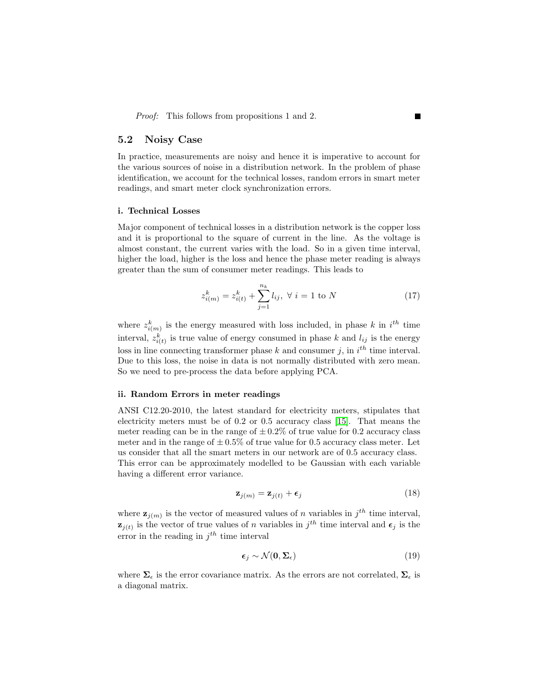*Proof:* This follows from propositions 1 and 2.

### 5.2 Noisy Case

In practice, measurements are noisy and hence it is imperative to account for the various sources of noise in a distribution network. In the problem of phase identification, we account for the technical losses, random errors in smart meter readings, and smart meter clock synchronization errors.

#### i. Technical Losses

Major component of technical losses in a distribution network is the copper loss and it is proportional to the square of current in the line. As the voltage is almost constant, the current varies with the load. So in a given time interval, higher the load, higher is the loss and hence the phase meter reading is always greater than the sum of consumer meter readings. This leads to

$$
z_{i(m)}^k = z_{i(t)}^k + \sum_{j=1}^{n_k} l_{ij}, \ \forall \ i = 1 \text{ to } N \tag{17}
$$

where  $z_{i(m)}^k$  is the energy measured with loss included, in phase k in  $i^{th}$  time interval,  $z_{i(t)}^k$  is true value of energy consumed in phase k and  $l_{ij}$  is the energy loss in line connecting transformer phase  $k$  and consumer j, in  $i^{th}$  time interval. Due to this loss, the noise in data is not normally distributed with zero mean. So we need to pre-process the data before applying PCA.

#### ii. Random Errors in meter readings

ANSI C12.20-2010, the latest standard for electricity meters, stipulates that electricity meters must be of 0.2 or 0.5 accuracy class [\[15\]](#page-13-12). That means the meter reading can be in the range of  $\pm 0.2\%$  of true value for 0.2 accuracy class meter and in the range of  $\pm 0.5\%$  of true value for 0.5 accuracy class meter. Let us consider that all the smart meters in our network are of 0.5 accuracy class. This error can be approximately modelled to be Gaussian with each variable having a different error variance.

$$
\mathbf{z}_{j(m)} = \mathbf{z}_{j(t)} + \boldsymbol{\epsilon}_j \tag{18}
$$

where  $\mathbf{z}_{j(m)}$  is the vector of measured values of n variables in  $j^{th}$  time interval,  $\mathbf{z}_{j(t)}$  is the vector of true values of n variables in  $j^{th}$  time interval and  $\epsilon_j$  is the error in the reading in  $j<sup>th</sup>$  time interval

$$
\epsilon_j \sim \mathcal{N}(\mathbf{0}, \Sigma_{\epsilon}) \tag{19}
$$

where  $\Sigma_{\epsilon}$  is the error covariance matrix. As the errors are not correlated,  $\Sigma_{\epsilon}$  is a diagonal matrix.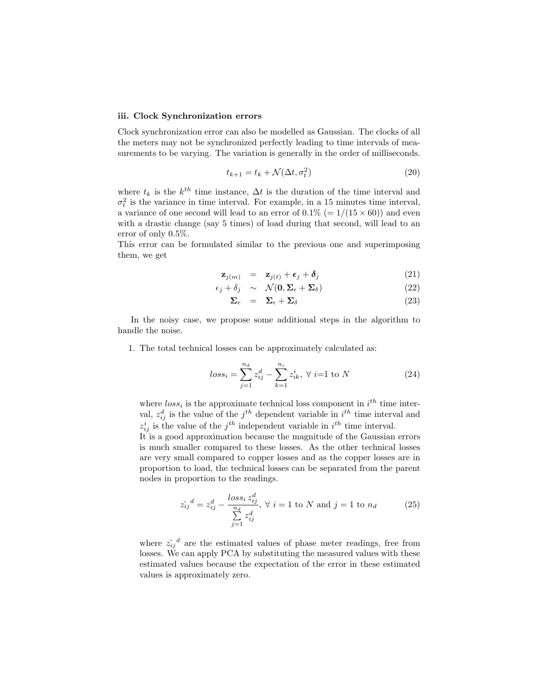#### iii. Clock Synchronization errors

Clock synchronization error can also be modelled as Gaussian. The clocks of all the meters may not be synchronized perfectly leading to time intervals of measurements to be varying. The variation is generally in the order of milliseconds.

$$
t_{k+1} = t_k + \mathcal{N}(\Delta t, \sigma_t^2)
$$
\n<sup>(20)</sup>

where  $t_k$  is the  $k^{th}$  time instance,  $\Delta t$  is the duration of the time interval and  $\sigma_t^2$  is the variance in time interval. For example, in a 15 minutes time interval, a variance of one second will lead to an error of  $0.1\%$  (=  $1/(15 \times 60)$ ) and even with a drastic change (say 5 times) of load during that second, will lead to an error of only 0.5%.

This error can be formulated similar to the previous one and superimposing them, we get

$$
\mathbf{z}_{j(m)} = \mathbf{z}_{j(t)} + \boldsymbol{\epsilon}_j + \boldsymbol{\delta}_j \tag{21}
$$

$$
\epsilon_j + \delta_j \sim \mathcal{N}(\mathbf{0}, \Sigma_\epsilon + \Sigma_\delta) \tag{22}
$$

$$
\Sigma_e = \Sigma_\epsilon + \Sigma_\delta \tag{23}
$$

In the noisy case, we propose some additional steps in the algorithm to handle the noise.

1. The total technical losses can be approximately calculated as:

$$
loss_i = \sum_{j=1}^{n_d} z_{ij}^d - \sum_{k=1}^{n_i} z_{ik}^i, \ \forall \ i=1 \text{ to } N
$$
 (24)

where  $loss_i$  is the approximate technical loss component in  $i^{th}$  time interval,  $z_{ij}^d$  is the value of the  $j^{th}$  dependent variable in  $i^{th}$  time interval and  $z_{ij}^i$  is the value of the  $j^{th}$  independent variable in  $i^{th}$  time interval.

It is a good approximation because the magnitude of the Gaussian errors is much smaller compared to these losses. As the other technical losses are very small compared to copper losses and as the copper losses are in proportion to load, the technical losses can be separated from the parent nodes in proportion to the readings.

$$
\hat{z_{ij}}^d = z_{ij}^d - \frac{loss_i z_{ij}^d}{\sum_{j=1}^{n_d} z_{ij}^d}, \ \forall \ i = 1 \text{ to } N \text{ and } j = 1 \text{ to } n_d \tag{25}
$$

where  $\hat{z_{ij}}^d$  are the estimated values of phase meter readings, free from losses. We can apply PCA by substituting the measured values with these estimated values because the expectation of the error in these estimated values is approximately zero.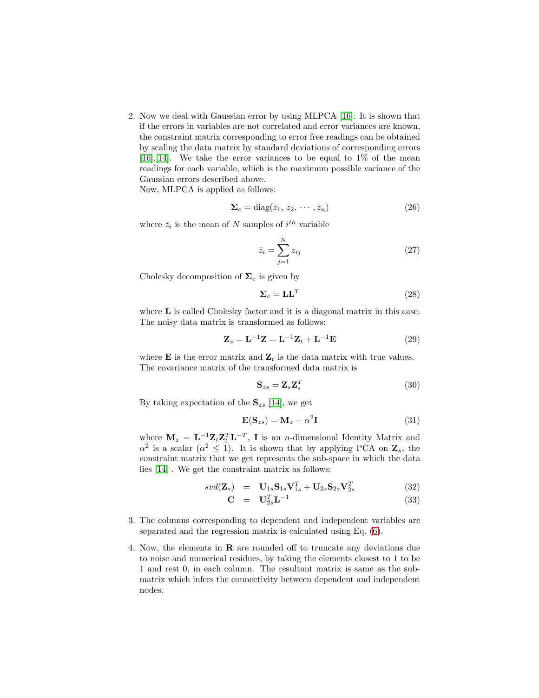2. Now we deal with Gaussian error by using MLPCA [\[16\]](#page-14-0). It is shown that if the errors in variables are not correlated and error variances are known, the constraint matrix corresponding to error free readings can be obtained by scaling the data matrix by standard deviations of corresponding errors [\[16\]](#page-14-0),[\[14\]](#page-13-11). We take the error variances to be equal to  $1\%$  of the mean readings for each variable, which is the maximum possible variance of the Gaussian errors described above.

Now, MLPCA is applied as follows:

$$
\Sigma_e = \text{diag}(\bar{z}_1, \, \bar{z}_2, \, \cdots, \bar{z}_n) \tag{26}
$$

where  $\bar{z}_i$  is the mean of N samples of  $i^{th}$  variable

$$
\bar{z}_i = \sum_{j=1}^{N} z_{ij} \tag{27}
$$

Cholesky decomposition of  $\Sigma_e$  is given by

$$
\Sigma_e = \mathbf{L}\mathbf{L}^T \tag{28}
$$

where **L** is called Cholesky factor and it is a diagonal matrix in this case. The noisy data matrix is transformed as follows:

$$
\mathbf{Z}_s = \mathbf{L}^{-1}\mathbf{Z} = \mathbf{L}^{-1}\mathbf{Z}_t + \mathbf{L}^{-1}\mathbf{E}
$$
 (29)

where **E** is the error matrix and  $\mathbf{Z}_t$  is the data matrix with true values. The covariance matrix of the transformed data matrix is

$$
\mathbf{S}_{zs} = \mathbf{Z}_s \mathbf{Z}_s^T \tag{30}
$$

By taking expectation of the  $S_{zs}$  [\[14\]](#page-13-11), we get

$$
\mathbf{E}(\mathbf{S}_{zs}) = \mathbf{M}_z + \alpha^2 \mathbf{I}
$$
 (31)

where  $\mathbf{M}_z = \mathbf{L}^{-1} \mathbf{Z}_t \mathbf{Z}_t^T \mathbf{L}^{-T}$ , **I** is an *n*-dimensional Identity Matrix and  $\alpha^2$  is a scalar  $(\alpha^2 \leq 1)$ . It is shown that by applying PCA on  $\mathbf{Z}_s$ , the constraint matrix that we get represents the sub-space in which the data lies [\[14\]](#page-13-11) . We get the constraint matrix as follows:

$$
svd(\mathbf{Z}_s) = \mathbf{U}_{1s}\mathbf{S}_{1s}\mathbf{V}_{1s}^T + \mathbf{U}_{2s}\mathbf{S}_{2s}\mathbf{V}_{2s}^T
$$
 (32)

$$
\mathbf{C} = \mathbf{U}_{2s}^T \mathbf{L}^{-1} \tag{33}
$$

- 3. The columns corresponding to dependent and independent variables are separated and the regression matrix is calculated using Eq. [\(6\)](#page-3-1).
- 4. Now, the elements in R are rounded off to truncate any deviations due to noise and numerical residues, by taking the elements closest to 1 to be 1 and rest 0, in each column. The resultant matrix is same as the submatrix which infers the connectivity between dependent and independent nodes.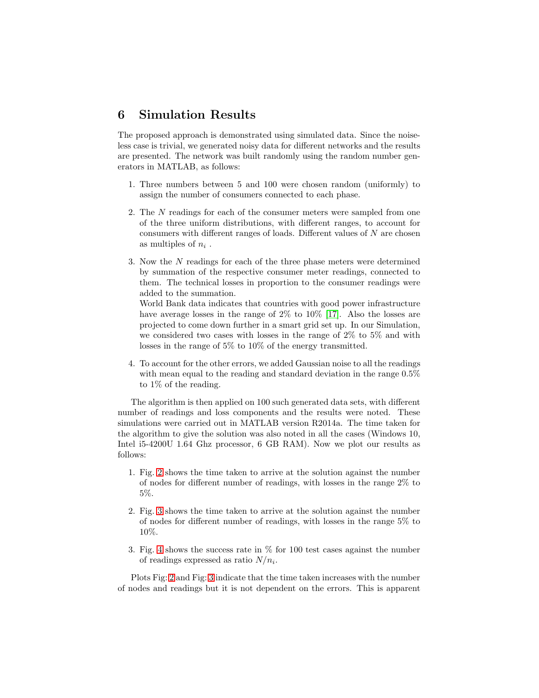### 6 Simulation Results

The proposed approach is demonstrated using simulated data. Since the noiseless case is trivial, we generated noisy data for different networks and the results are presented. The network was built randomly using the random number generators in MATLAB, as follows:

- 1. Three numbers between 5 and 100 were chosen random (uniformly) to assign the number of consumers connected to each phase.
- 2. The N readings for each of the consumer meters were sampled from one of the three uniform distributions, with different ranges, to account for consumers with different ranges of loads. Different values of  $N$  are chosen as multiples of  $n_i$ .
- 3. Now the N readings for each of the three phase meters were determined by summation of the respective consumer meter readings, connected to them. The technical losses in proportion to the consumer readings were added to the summation.

World Bank data indicates that countries with good power infrastructure have average losses in the range of 2% to 10% [\[17\]](#page-14-1). Also the losses are projected to come down further in a smart grid set up. In our Simulation, we considered two cases with losses in the range of 2% to 5% and with losses in the range of 5% to 10% of the energy transmitted.

4. To account for the other errors, we added Gaussian noise to all the readings with mean equal to the reading and standard deviation in the range 0.5% to 1% of the reading.

The algorithm is then applied on 100 such generated data sets, with different number of readings and loss components and the results were noted. These simulations were carried out in MATLAB version R2014a. The time taken for the algorithm to give the solution was also noted in all the cases (Windows 10, Intel i5-4200U 1.64 Ghz processor, 6 GB RAM). Now we plot our results as follows:

- 1. Fig. [2](#page-11-0) shows the time taken to arrive at the solution against the number of nodes for different number of readings, with losses in the range 2% to 5%.
- 2. Fig. [3](#page-11-1) shows the time taken to arrive at the solution against the number of nodes for different number of readings, with losses in the range 5% to 10%.
- 3. Fig. [4](#page-12-2) shows the success rate in % for 100 test cases against the number of readings expressed as ratio  $N/n_i$ .

Plots Fig: [2](#page-11-0) and Fig: [3](#page-11-1) indicate that the time taken increases with the number of nodes and readings but it is not dependent on the errors. This is apparent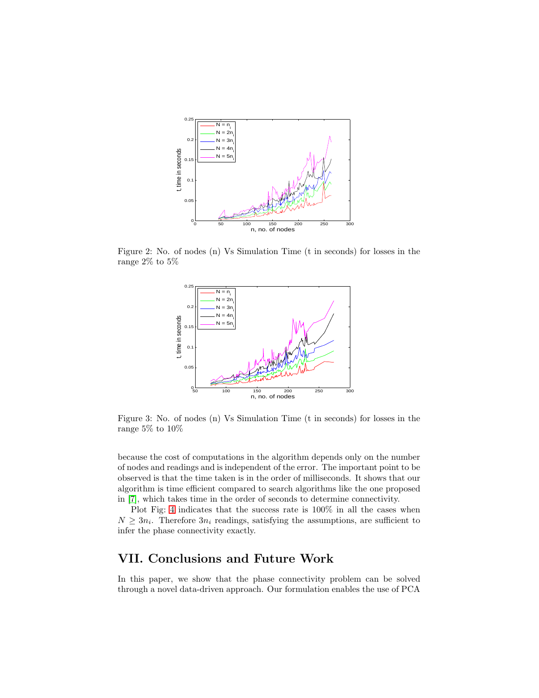

Figure 2: No. of nodes (n) Vs Simulation Time (t in seconds) for losses in the range $2\%$  to  $5\%$ 

<span id="page-11-0"></span>

<span id="page-11-1"></span>Figure 3: No. of nodes (n) Vs Simulation Time (t in seconds) for losses in the range 5% to 10%

because the cost of computations in the algorithm depends only on the number of nodes and readings and is independent of the error. The important point to be observed is that the time taken is in the order of milliseconds. It shows that our algorithm is time efficient compared to search algorithms like the one proposed in [\[7\]](#page-13-4), which takes time in the order of seconds to determine connectivity.

Plot Fig: [4](#page-12-2) indicates that the success rate is 100% in all the cases when  $N \geq 3n_i$ . Therefore  $3n_i$  readings, satisfying the assumptions, are sufficient to infer the phase connectivity exactly.

# VII. Conclusions and Future Work

In this paper, we show that the phase connectivity problem can be solved through a novel data-driven approach. Our formulation enables the use of PCA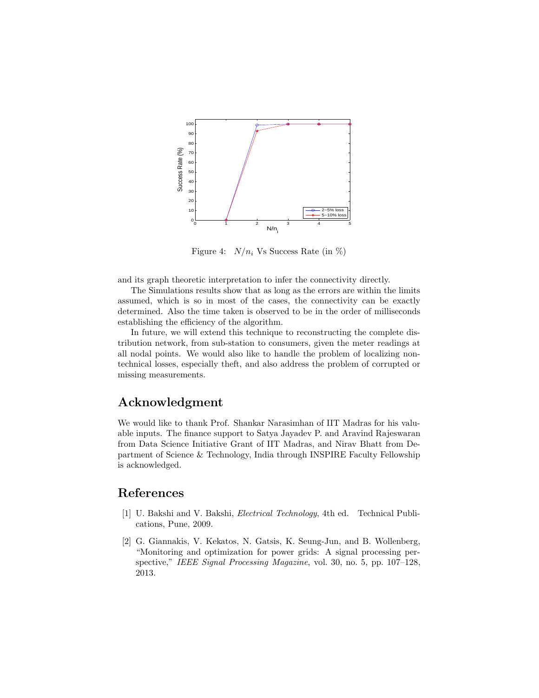

<span id="page-12-2"></span>Figure 4:  $N/n_i$  Vs Success Rate (in %)

and its graph theoretic interpretation to infer the connectivity directly.

The Simulations results show that as long as the errors are within the limits assumed, which is so in most of the cases, the connectivity can be exactly determined. Also the time taken is observed to be in the order of milliseconds establishing the efficiency of the algorithm.

In future, we will extend this technique to reconstructing the complete distribution network, from sub-station to consumers, given the meter readings at all nodal points. We would also like to handle the problem of localizing nontechnical losses, especially theft, and also address the problem of corrupted or missing measurements.

# Acknowledgment

We would like to thank Prof. Shankar Narasimhan of IIT Madras for his valuable inputs. The finance support to Satya Jayadev P. and Aravind Rajeswaran from Data Science Initiative Grant of IIT Madras, and Nirav Bhatt from Department of Science & Technology, India through INSPIRE Faculty Fellowship is acknowledged.

# <span id="page-12-0"></span>References

- [1] U. Bakshi and V. Bakshi, *Electrical Technology*, 4th ed. Technical Publications, Pune, 2009.
- <span id="page-12-1"></span>[2] G. Giannakis, V. Kekatos, N. Gatsis, K. Seung-Jun, and B. Wollenberg, "Monitoring and optimization for power grids: A signal processing perspective," *IEEE Signal Processing Magazine*, vol. 30, no. 5, pp. 107–128, 2013.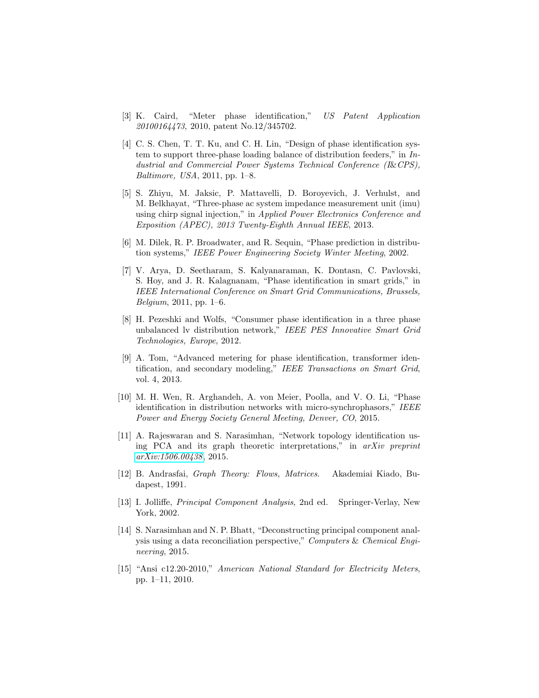- <span id="page-13-0"></span>[3] K. Caird, "Meter phase identification," *US Patent Application 20100164473*, 2010, patent No.12/345702.
- <span id="page-13-1"></span>[4] C. S. Chen, T. T. Ku, and C. H. Lin, "Design of phase identification system to support three-phase loading balance of distribution feeders," in *Industrial and Commercial Power Systems Technical Conference (I*&*CPS), Baltimore, USA*, 2011, pp. 1–8.
- <span id="page-13-2"></span>[5] S. Zhiyu, M. Jaksic, P. Mattavelli, D. Boroyevich, J. Verhulst, and M. Belkhayat, "Three-phase ac system impedance measurement unit (imu) using chirp signal injection," in *Applied Power Electronics Conference and Exposition (APEC), 2013 Twenty-Eighth Annual IEEE*, 2013.
- <span id="page-13-3"></span>[6] M. Dilek, R. P. Broadwater, and R. Sequin, "Phase prediction in distribution systems," *IEEE Power Engineering Society Winter Meeting*, 2002.
- <span id="page-13-4"></span>[7] V. Arya, D. Seetharam, S. Kalyanaraman, K. Dontasn, C. Pavlovski, S. Hoy, and J. R. Kalagnanam, "Phase identification in smart grids," in *IEEE International Conference on Smart Grid Communications, Brussels, Belgium*, 2011, pp. 1–6.
- <span id="page-13-5"></span>[8] H. Pezeshki and Wolfs, "Consumer phase identification in a three phase unbalanced lv distribution network," *IEEE PES Innovative Smart Grid Technologies, Europe*, 2012.
- <span id="page-13-6"></span>[9] A. Tom, "Advanced metering for phase identification, transformer identification, and secondary modeling," *IEEE Transactions on Smart Grid*, vol. 4, 2013.
- <span id="page-13-7"></span>[10] M. H. Wen, R. Arghandeh, A. von Meier, Poolla, and V. O. Li, "Phase identification in distribution networks with micro-synchrophasors," *IEEE Power and Energy Society General Meeting, Denver, CO*, 2015.
- <span id="page-13-8"></span>[11] A. Rajeswaran and S. Narasimhan, "Network topology identification using PCA and its graph theoretic interpretations," in *arXiv preprint [arXiv:1506.00438](http://arxiv.org/abs/1506.00438)*, 2015.
- <span id="page-13-9"></span>[12] B. Andrasfai, *Graph Theory: Flows, Matrices*. Akademiai Kiado, Budapest, 1991.
- <span id="page-13-10"></span>[13] I. Jolliffe, *Principal Component Analysis*, 2nd ed. Springer-Verlay, New York, 2002.
- <span id="page-13-11"></span>[14] S. Narasimhan and N. P. Bhatt, "Deconstructing principal component analysis using a data reconciliation perspective," *Computers* & *Chemical Engineering*, 2015.
- <span id="page-13-12"></span>[15] "Ansi c12.20-2010," *American National Standard for Electricity Meters*, pp. 1–11, 2010.